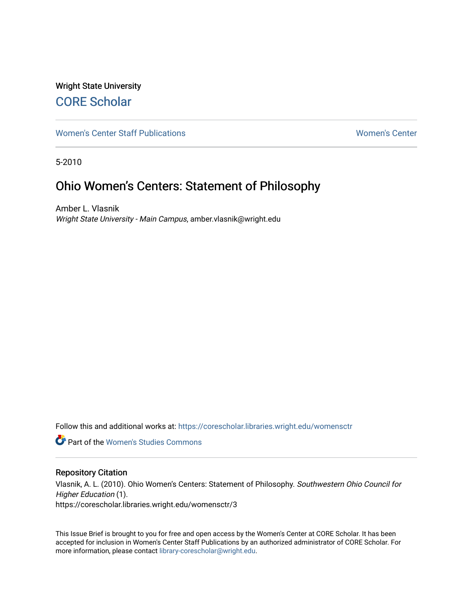# Wright State University [CORE Scholar](https://corescholar.libraries.wright.edu/)

[Women's Center Staff Publications](https://corescholar.libraries.wright.edu/womensctr) [Women's Center](https://corescholar.libraries.wright.edu/womensctr_comm) 

5-2010

# Ohio Women's Centers: Statement of Philosophy

Amber L. Vlasnik Wright State University - Main Campus, amber.vlasnik@wright.edu

Follow this and additional works at: [https://corescholar.libraries.wright.edu/womensctr](https://corescholar.libraries.wright.edu/womensctr?utm_source=corescholar.libraries.wright.edu%2Fwomensctr%2F3&utm_medium=PDF&utm_campaign=PDFCoverPages)

**Part of the Women's Studies Commons** 

#### Repository Citation

Vlasnik, A. L. (2010). Ohio Women's Centers: Statement of Philosophy. Southwestern Ohio Council for Higher Education (1). https://corescholar.libraries.wright.edu/womensctr/3

This Issue Brief is brought to you for free and open access by the Women's Center at CORE Scholar. It has been accepted for inclusion in Women's Center Staff Publications by an authorized administrator of CORE Scholar. For more information, please contact [library-corescholar@wright.edu.](mailto:library-corescholar@wright.edu)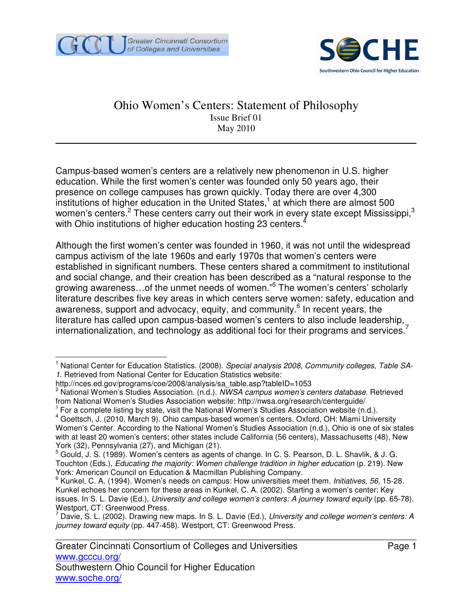



## Ohio Women's Centers: Statement of Philosophy Issue Brief 01 May 2010

\_\_\_\_\_\_\_\_\_\_\_\_\_\_\_\_\_\_\_\_\_\_\_\_\_\_\_\_\_\_\_\_\_\_\_\_\_\_\_\_\_\_\_\_\_\_\_\_\_\_\_\_\_\_\_\_\_\_\_\_\_\_\_\_\_\_\_\_\_\_

Campus-based women's centers are a relatively new phenomenon in U.S. higher education. While the first women's center was founded only 50 years ago, their presence on college campuses has grown quickly. Today there are over 4,300 institutions of higher education in the United States, $1$  at which there are almost 500 women's centers.<sup>2</sup> These centers carry out their work in every state except Mississippi,<sup>3</sup> with Ohio institutions of higher education hosting 23 centers.<sup>4</sup>

Although the first women's center was founded in 1960, it was not until the widespread campus activism of the late 1960s and early 1970s that women's centers were established in significant numbers. These centers shared a commitment to institutional and social change, and their creation has been described as a "natural response to the growing awareness…of the unmet needs of women."<sup>5</sup> The women's centers' scholarly literature describes five key areas in which centers serve women: safety, education and awareness, support and advocacy, equity, and community.<sup>6</sup> In recent years, the literature has called upon campus-based women's centers to also include leadership, internationalization, and technology as additional foci for their programs and services.<sup>7</sup>

 $\overline{\phantom{a}}$ 1 National Center for Education Statistics. (2008). Special analysis 2008, Community colleges, Table SA-1. Retrieved from National Center for Education Statistics website:

http://nces.ed.gov/programs/coe/2008/analysis/sa\_table.asp?tableID=1053

<sup>&</sup>lt;sup>2</sup> National Women's Studies Association. (n.d.). NWSA campus women's centers database. Retrieved from National Women's Studies Association website: http://nwsa.org/research/centerguide/

 $3$  For a complete listing by state, visit the National Women's Studies Association website (n.d.).

<sup>&</sup>lt;sup>4</sup> Goettsch, J. (2010, March 9). Ohio campus-based women's centers. Oxford, OH: Miami University Women's Center. According to the National Women's Studies Association (n.d.), Ohio is one of six states with at least 20 women's centers; other states include California (56 centers), Massachusetts (48), New York (32), Pennsylvania (27), and Michigan (21).

<sup>5</sup> Gould, J. S. (1989). Women's centers as agents of change. In C. S. Pearson, D. L. Shavlik, & J. G. Touchton (Eds.), Educating the majority: Women challenge tradition in higher education (p. 219). New York: American Council on Education & Macmillan Publishing Company.

<sup>&</sup>lt;sup>6</sup> Kunkel, C. A. (1994). Women's needs on campus: How universities meet them. Initiatives, 56, 15-28. Kunkel echoes her concern for these areas in Kunkel, C. A. (2002). Starting a women's center: Key issues. In S. L. Davie (Ed.), University and college women's centers: A journey toward equity (pp. 65-78). Westport, CT: Greenwood Press.

 $^7$  Davie, S. L. (2002). Drawing new maps. In S. L. Davie (Ed.), University and college women's centers: A journey toward equity (pp. 447-458). Westport, CT: Greenwood Press.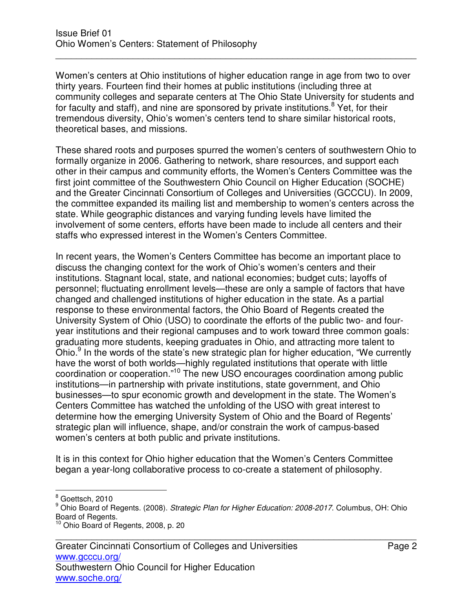Women's centers at Ohio institutions of higher education range in age from two to over thirty years. Fourteen find their homes at public institutions (including three at community colleges and separate centers at The Ohio State University for students and for faculty and staff), and nine are sponsored by private institutions.<sup>8</sup> Yet, for their tremendous diversity, Ohio's women's centers tend to share similar historical roots, theoretical bases, and missions.

\_\_\_\_\_\_\_\_\_\_\_\_\_\_\_\_\_\_\_\_\_\_\_\_\_\_\_\_\_\_\_\_\_\_\_\_\_\_\_\_\_\_\_\_\_\_\_\_\_\_\_\_\_\_\_\_\_\_\_\_\_\_\_\_\_\_\_\_\_\_

These shared roots and purposes spurred the women's centers of southwestern Ohio to formally organize in 2006. Gathering to network, share resources, and support each other in their campus and community efforts, the Women's Centers Committee was the first joint committee of the Southwestern Ohio Council on Higher Education (SOCHE) and the Greater Cincinnati Consortium of Colleges and Universities (GCCCU). In 2009, the committee expanded its mailing list and membership to women's centers across the state. While geographic distances and varying funding levels have limited the involvement of some centers, efforts have been made to include all centers and their staffs who expressed interest in the Women's Centers Committee.

In recent years, the Women's Centers Committee has become an important place to discuss the changing context for the work of Ohio's women's centers and their institutions. Stagnant local, state, and national economies; budget cuts; layoffs of personnel; fluctuating enrollment levels—these are only a sample of factors that have changed and challenged institutions of higher education in the state. As a partial response to these environmental factors, the Ohio Board of Regents created the University System of Ohio (USO) to coordinate the efforts of the public two- and fouryear institutions and their regional campuses and to work toward three common goals: graduating more students, keeping graduates in Ohio, and attracting more talent to Ohio.<sup>9</sup> In the words of the state's new strategic plan for higher education, "We currently have the worst of both worlds—highly regulated institutions that operate with little coordination or cooperation."<sup>10</sup> The new USO encourages coordination among public institutions—in partnership with private institutions, state government, and Ohio businesses—to spur economic growth and development in the state. The Women's Centers Committee has watched the unfolding of the USO with great interest to determine how the emerging University System of Ohio and the Board of Regents' strategic plan will influence, shape, and/or constrain the work of campus-based women's centers at both public and private institutions.

It is in this context for Ohio higher education that the Women's Centers Committee began a year-long collaborative process to co-create a statement of philosophy.

e<br>8 Goettsch, 2010

<sup>&</sup>lt;sup>9</sup> Ohio Board of Regents. (2008). Strategic Plan for Higher Education: 2008-2017. Columbus, OH: Ohio Board of Regents.

<sup>&</sup>lt;sup>10</sup> Ohio Board of Regents, 2008, p. 20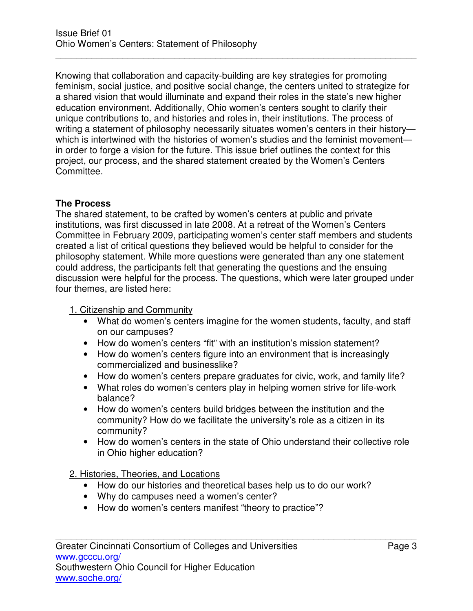Knowing that collaboration and capacity-building are key strategies for promoting feminism, social justice, and positive social change, the centers united to strategize for a shared vision that would illuminate and expand their roles in the state's new higher education environment. Additionally, Ohio women's centers sought to clarify their unique contributions to, and histories and roles in, their institutions. The process of writing a statement of philosophy necessarily situates women's centers in their historywhich is intertwined with the histories of women's studies and the feminist movement in order to forge a vision for the future. This issue brief outlines the context for this project, our process, and the shared statement created by the Women's Centers Committee.

\_\_\_\_\_\_\_\_\_\_\_\_\_\_\_\_\_\_\_\_\_\_\_\_\_\_\_\_\_\_\_\_\_\_\_\_\_\_\_\_\_\_\_\_\_\_\_\_\_\_\_\_\_\_\_\_\_\_\_\_\_\_\_\_\_\_\_\_\_\_

### **The Process**

The shared statement, to be crafted by women's centers at public and private institutions, was first discussed in late 2008. At a retreat of the Women's Centers Committee in February 2009, participating women's center staff members and students created a list of critical questions they believed would be helpful to consider for the philosophy statement. While more questions were generated than any one statement could address, the participants felt that generating the questions and the ensuing discussion were helpful for the process. The questions, which were later grouped under four themes, are listed here:

#### 1. Citizenship and Community

- What do women's centers imagine for the women students, faculty, and staff on our campuses?
- How do women's centers "fit" with an institution's mission statement?
- How do women's centers figure into an environment that is increasingly commercialized and businesslike?
- How do women's centers prepare graduates for civic, work, and family life?
- What roles do women's centers play in helping women strive for life-work balance?
- How do women's centers build bridges between the institution and the community? How do we facilitate the university's role as a citizen in its community?
- How do women's centers in the state of Ohio understand their collective role in Ohio higher education?

#### 2. Histories, Theories, and Locations

- How do our histories and theoretical bases help us to do our work?
- Why do campuses need a women's center?
- How do women's centers manifest "theory to practice"?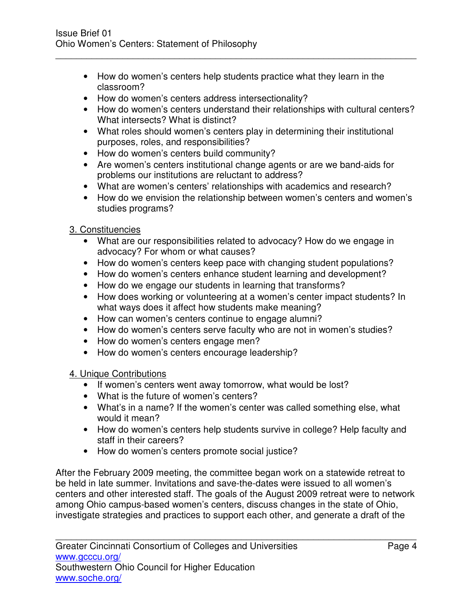• How do women's centers help students practice what they learn in the classroom?

\_\_\_\_\_\_\_\_\_\_\_\_\_\_\_\_\_\_\_\_\_\_\_\_\_\_\_\_\_\_\_\_\_\_\_\_\_\_\_\_\_\_\_\_\_\_\_\_\_\_\_\_\_\_\_\_\_\_\_\_\_\_\_\_\_\_\_\_\_\_

- How do women's centers address intersectionality?
- How do women's centers understand their relationships with cultural centers? What intersects? What is distinct?
- What roles should women's centers play in determining their institutional purposes, roles, and responsibilities?
- How do women's centers build community?
- Are women's centers institutional change agents or are we band-aids for problems our institutions are reluctant to address?
- What are women's centers' relationships with academics and research?
- How do we envision the relationship between women's centers and women's studies programs?

# 3. Constituencies

- What are our responsibilities related to advocacy? How do we engage in advocacy? For whom or what causes?
- How do women's centers keep pace with changing student populations?
- How do women's centers enhance student learning and development?
- How do we engage our students in learning that transforms?
- How does working or volunteering at a women's center impact students? In what ways does it affect how students make meaning?
- How can women's centers continue to engage alumni?
- How do women's centers serve faculty who are not in women's studies?
- How do women's centers engage men?
- How do women's centers encourage leadership?

# 4. Unique Contributions

- If women's centers went away tomorrow, what would be lost?
- What is the future of women's centers?
- What's in a name? If the women's center was called something else, what would it mean?
- How do women's centers help students survive in college? Help faculty and staff in their careers?
- How do women's centers promote social justice?

After the February 2009 meeting, the committee began work on a statewide retreat to be held in late summer. Invitations and save-the-dates were issued to all women's centers and other interested staff. The goals of the August 2009 retreat were to network among Ohio campus-based women's centers, discuss changes in the state of Ohio, investigate strategies and practices to support each other, and generate a draft of the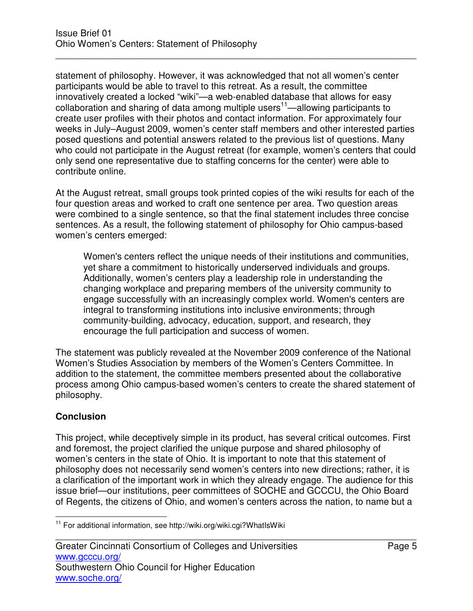statement of philosophy. However, it was acknowledged that not all women's center participants would be able to travel to this retreat. As a result, the committee innovatively created a locked "wiki"—a web-enabled database that allows for easy collaboration and sharing of data among multiple users<sup>11</sup>—allowing participants to create user profiles with their photos and contact information. For approximately four weeks in July–August 2009, women's center staff members and other interested parties posed questions and potential answers related to the previous list of questions. Many who could not participate in the August retreat (for example, women's centers that could only send one representative due to staffing concerns for the center) were able to contribute online.

\_\_\_\_\_\_\_\_\_\_\_\_\_\_\_\_\_\_\_\_\_\_\_\_\_\_\_\_\_\_\_\_\_\_\_\_\_\_\_\_\_\_\_\_\_\_\_\_\_\_\_\_\_\_\_\_\_\_\_\_\_\_\_\_\_\_\_\_\_\_

At the August retreat, small groups took printed copies of the wiki results for each of the four question areas and worked to craft one sentence per area. Two question areas were combined to a single sentence, so that the final statement includes three concise sentences. As a result, the following statement of philosophy for Ohio campus-based women's centers emerged:

Women's centers reflect the unique needs of their institutions and communities, yet share a commitment to historically underserved individuals and groups. Additionally, women's centers play a leadership role in understanding the changing workplace and preparing members of the university community to engage successfully with an increasingly complex world. Women's centers are integral to transforming institutions into inclusive environments; through community-building, advocacy, education, support, and research, they encourage the full participation and success of women.

The statement was publicly revealed at the November 2009 conference of the National Women's Studies Association by members of the Women's Centers Committee. In addition to the statement, the committee members presented about the collaborative process among Ohio campus-based women's centers to create the shared statement of philosophy.

## **Conclusion**

This project, while deceptively simple in its product, has several critical outcomes. First and foremost, the project clarified the unique purpose and shared philosophy of women's centers in the state of Ohio. It is important to note that this statement of philosophy does not necessarily send women's centers into new directions; rather, it is a clarification of the important work in which they already engage. The audience for this issue brief—our institutions, peer committees of SOCHE and GCCCU, the Ohio Board of Regents, the citizens of Ohio, and women's centers across the nation, to name but a

 $\overline{a}$ <sup>11</sup> For additional information, see http://wiki.org/wiki.cgi?WhatIsWiki